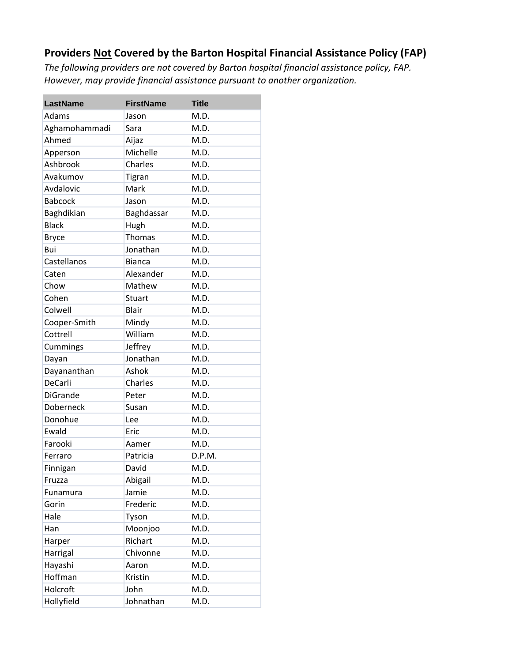## **Providers Not Covered by the Barton Hospital Financial Assistance Policy (FAP)**

*The following providers are not covered by Barton hospital financial assistance policy, FAP. However, may provide financial assistance pursuant to another organization.*

| <b>LastName</b> | <b>FirstName</b> | <b>Title</b> |
|-----------------|------------------|--------------|
| Adams           | Jason            | M.D.         |
| Aghamohammadi   | Sara             | M.D.         |
| Ahmed           | Aijaz            | M.D.         |
| Apperson        | Michelle         | M.D.         |
| Ashbrook        | Charles          | M.D.         |
| Avakumov        | <b>Tigran</b>    | M.D.         |
| Avdalovic       | Mark             | M.D.         |
| <b>Babcock</b>  | Jason            | M.D.         |
| Baghdikian      | Baghdassar       | M.D.         |
| <b>Black</b>    | Hugh             | M.D.         |
| <b>Bryce</b>    | Thomas           | M.D.         |
| Bui             | Jonathan         | M.D.         |
| Castellanos     | <b>Bianca</b>    | M.D.         |
| Caten           | Alexander        | M.D.         |
| Chow            | Mathew           | M.D.         |
| Cohen           | <b>Stuart</b>    | M.D.         |
| Colwell         | Blair            | M.D.         |
| Cooper-Smith    | Mindy            | M.D.         |
| Cottrell        | William          | M.D.         |
| Cummings        | Jeffrey          | M.D.         |
| Dayan           | Jonathan         | M.D.         |
| Dayananthan     | Ashok            | M.D.         |
| DeCarli         | Charles          | M.D.         |
| <b>DiGrande</b> | Peter            | M.D.         |
| Doberneck       | Susan            | M.D.         |
| Donohue         | Lee              | M.D.         |
| Ewald           | Eric             | M.D.         |
| Farooki         | Aamer            | M.D.         |
| Ferraro         | Patricia         | D.P.M.       |
| Finnigan        | David            | M.D.         |
| Fruzza          | Abigail          | M.D.         |
| Funamura        | Jamie            | M.D.         |
| Gorin           | Frederic         | M.D.         |
| Hale            | Tyson            | M.D.         |
| Han             | Moonjoo          | M.D.         |
| Harper          | Richart          | M.D.         |
| Harrigal        | Chivonne         | M.D.         |
| Hayashi         | Aaron            | M.D.         |
| Hoffman         | Kristin          | M.D.         |
| Holcroft        | John             | M.D.         |
| Hollyfield      | Johnathan        | M.D.         |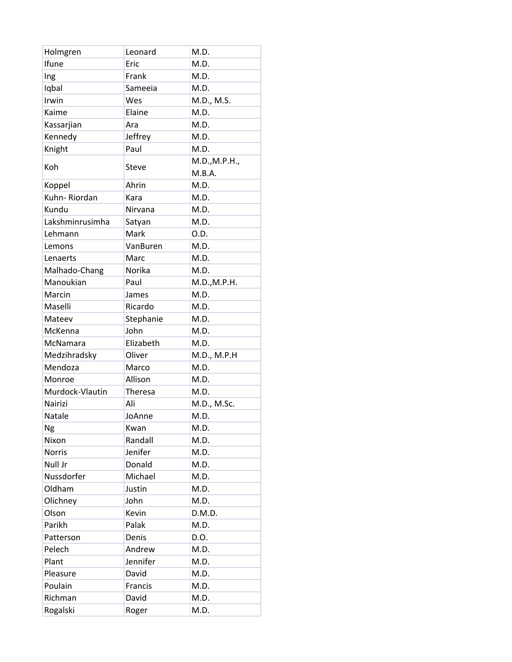| Holmgren        | Leonard        | M.D.                    |
|-----------------|----------------|-------------------------|
| Ifune           | Eric           | M.D.                    |
| Ing             | Frank          | M.D.                    |
| Iqbal           | Sameeia        | M.D.                    |
| Irwin           | Wes            | M.D., M.S.              |
| Kaime           | Elaine         | M.D.                    |
| Kassarjian      | Ara            | M.D.                    |
| Kennedy         | Jeffrey        | M.D.                    |
| Knight          | Paul           | M.D.                    |
| Koh             | <b>Steve</b>   | M.D., M.P.H.,<br>M.B.A. |
| Koppel          | Ahrin          | M.D.                    |
| Kuhn-Riordan    | Kara           | M.D.                    |
| Kundu           | Nirvana        | M.D.                    |
| Lakshminrusimha | Satyan         | M.D.                    |
| Lehmann         | Mark           | O.D.                    |
| Lemons          | VanBuren       | M.D.                    |
| Lenaerts        | Marc           | M.D.                    |
| Malhado-Chang   | Norika         | M.D.                    |
| Manoukian       | Paul           | M.D., M.P.H.            |
| Marcin          | James          | M.D.                    |
| Maselli         | Ricardo        | M.D.                    |
| Mateev          | Stephanie      | M.D.                    |
| McKenna         | John           | M.D.                    |
| McNamara        | Elizabeth      | M.D.                    |
| Medzihradsky    | Oliver         | M.D., M.P.H             |
| Mendoza         | Marco          | M.D.                    |
| Monroe          | Allison        | M.D.                    |
| Murdock-Vlautin | <b>Theresa</b> | M.D.                    |
| Nairizi         | Ali            | M.D., M.Sc.             |
| Natale          | JoAnne         | M.D.                    |
| Ng              | Kwan           | M.D.                    |
| Nixon           | Randall        | M.D.                    |
| <b>Norris</b>   | Jenifer        | M.D.                    |
| Null Jr         | Donald         | M.D.                    |
| Nussdorfer      | Michael        | M.D.                    |
| Oldham          | Justin         | M.D.                    |
| Olichney        | John           | M.D.                    |
| Olson           | Kevin          | D.M.D.                  |
| Parikh          | Palak          | M.D.                    |
| Patterson       | Denis          | D.O.                    |
| Pelech          | Andrew         | M.D.                    |
| Plant           | Jennifer       | M.D.                    |
| Pleasure        | David          | M.D.                    |
| Poulain         | Francis        | M.D.                    |
| Richman         | David          | M.D.                    |
| Rogalski        | Roger          | M.D.                    |